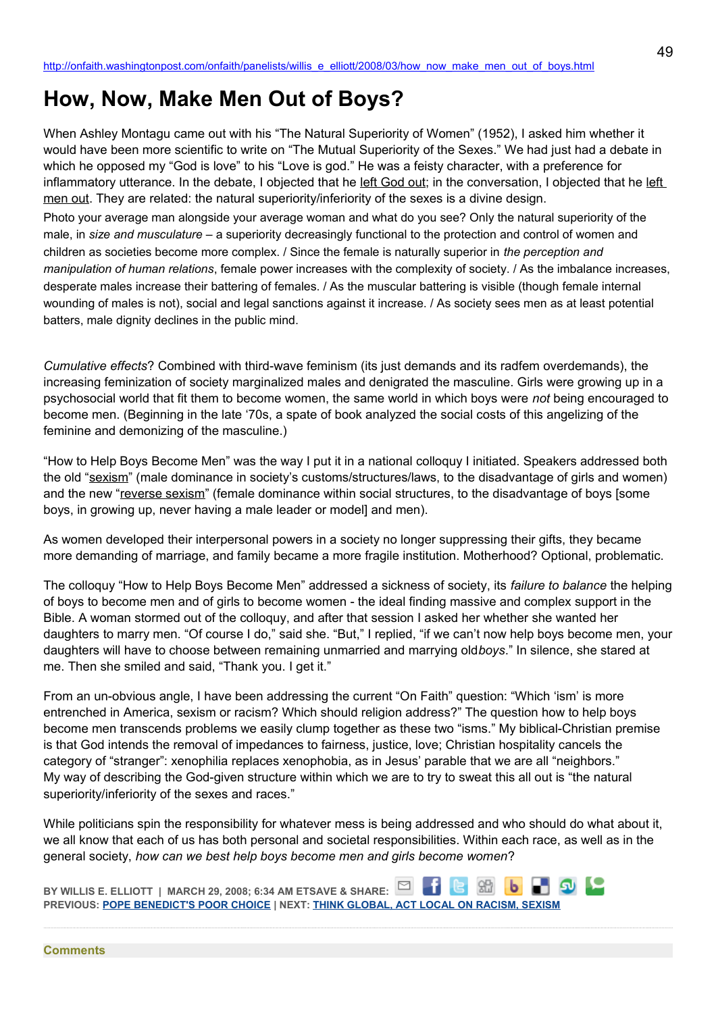## **How, Now, Make Men Out of Boys?**

When Ashley Montagu came out with his "The Natural Superiority of Women" (1952), I asked him whether it would have been more scientific to write on "The Mutual Superiority of the Sexes." We had just had a debate in which he opposed my "God is love" to his "Love is god." He was a feisty character, with a preference for inflammatory utterance. In the debate, I objected that he left God out; in the conversation, I objected that he left men out. They are related: the natural superiority/inferiority of the sexes is a divine design.

Photo your average man alongside your average woman and what do you see? Only the natural superiority of the male, in *size and musculature* – a superiority decreasingly functional to the protection and control of women and children as societies become more complex. / Since the female is naturally superior in *the perception and manipulation of human relations*, female power increases with the complexity of society. / As the imbalance increases, desperate males increase their battering of females. / As the muscular battering is visible (though female internal wounding of males is not), social and legal sanctions against it increase. / As society sees men as at least potential batters, male dignity declines in the public mind.

*Cumulative effects*? Combined with third-wave feminism (its just demands and its radfem overdemands), the increasing feminization of society marginalized males and denigrated the masculine. Girls were growing up in a psychosocial world that fit them to become women, the same world in which boys were *not* being encouraged to become men. (Beginning in the late '70s, a spate of book analyzed the social costs of this angelizing of the feminine and demonizing of the masculine.)

"How to Help Boys Become Men" was the way I put it in a national colloquy I initiated. Speakers addressed both the old "sexism" (male dominance in society's customs/structures/laws, to the disadvantage of girls and women) and the new "reverse sexism" (female dominance within social structures, to the disadvantage of boys [some boys, in growing up, never having a male leader or model] and men).

As women developed their interpersonal powers in a society no longer suppressing their gifts, they became more demanding of marriage, and family became a more fragile institution. Motherhood? Optional, problematic.

The colloquy "How to Help Boys Become Men" addressed a sickness of society, its *failure to balance* the helping of boys to become men and of girls to become women - the ideal finding massive and complex support in the Bible. A woman stormed out of the colloquy, and after that session I asked her whether she wanted her daughters to marry men. "Of course I do," said she. "But," I replied, "if we can't now help boys become men, your daughters will have to choose between remaining unmarried and marrying old*boys*." In silence, she stared at me. Then she smiled and said, "Thank you. I get it."

From an un-obvious angle, I have been addressing the current "On Faith" question: "Which 'ism' is more entrenched in America, sexism or racism? Which should religion address?" The question how to help boys become men transcends problems we easily clump together as these two "isms." My biblical-Christian premise is that God intends the removal of impedances to fairness, justice, love; Christian hospitality cancels the category of "stranger": xenophilia replaces xenophobia, as in Jesus' parable that we are all "neighbors." My way of describing the God-given structure within which we are to try to sweat this all out is "the natural superiority/inferiority of the sexes and races."

While politicians spin the responsibility for whatever mess is being addressed and who should do what about it, we all know that each of us has both personal and societal responsibilities. Within each race, as well as in the general society, *how can we best help boys become men and girls become women*?

**BY WILLIS E. ELLIOTT | MARCH 29, 2008; 6:34 AM ETSAVE & SHARE: PREVIOUS: [POPE BENEDICT'S POOR CHOICE](http://onfaith.washingtonpost.com/onfaith/panelists/daisy_khan/2008/03/pope_benedicts_choice_to_publi.html) | NEXT: [THINK GLOBAL, ACT LOCAL ON RACISM, SEXISM](http://onfaith.washingtonpost.com/onfaith/panelists/james_anderson/2008/03/confronting_racism_and_sexism.html)**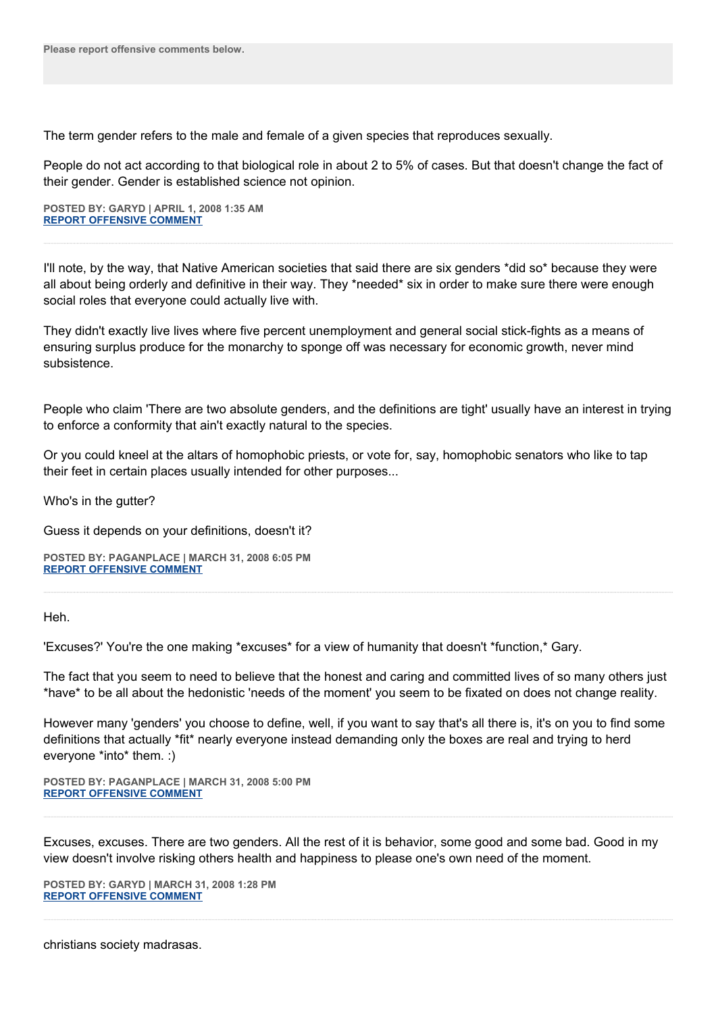The term gender refers to the male and female of a given species that reproduces sexually.

People do not act according to that biological role in about 2 to 5% of cases. But that doesn't change the fact of their gender. Gender is established science not opinion.

**POSTED BY: GARYD | APRIL 1, 2008 1:35 AM [REPORT OFFENSIVE COMMENT](mailto:blogs@washingtonpost.com?subject=On%20Faith%20Panelists%20Blog%20%20%7C%20%20Garyd%20%20%7C%20%20How,%20Now,%20Make%20Men%20Out%20of%20Boys?%20%20%7C%20%202977274&body=%0D%0D%0D%0D%0D================%0D?__mode=view%26_type=comment%26id=2977274%26blog_id=618)**

I'll note, by the way, that Native American societies that said there are six genders \*did so\* because they were all about being orderly and definitive in their way. They \*needed\* six in order to make sure there were enough social roles that everyone could actually live with.

They didn't exactly live lives where five percent unemployment and general social stick-fights as a means of ensuring surplus produce for the monarchy to sponge off was necessary for economic growth, never mind subsistence.

People who claim 'There are two absolute genders, and the definitions are tight' usually have an interest in trying to enforce a conformity that ain't exactly natural to the species.

Or you could kneel at the altars of homophobic priests, or vote for, say, homophobic senators who like to tap their feet in certain places usually intended for other purposes...

Who's in the gutter?

Guess it depends on your definitions, doesn't it?

**POSTED BY: PAGANPLACE | MARCH 31, 2008 6:05 PM [REPORT OFFENSIVE COMMENT](mailto:blogs@washingtonpost.com?subject=On%20Faith%20Panelists%20Blog%20%20%7C%20%20Paganplace%20%20%7C%20%20How,%20Now,%20Make%20Men%20Out%20of%20Boys?%20%20%7C%20%202974926&body=%0D%0D%0D%0D%0D================%0D?__mode=view%26_type=comment%26id=2974926%26blog_id=618)**

Heh.

'Excuses?' You're the one making \*excuses\* for a view of humanity that doesn't \*function,\* Gary.

The fact that you seem to need to believe that the honest and caring and committed lives of so many others just \*have\* to be all about the hedonistic 'needs of the moment' you seem to be fixated on does not change reality.

However many 'genders' you choose to define, well, if you want to say that's all there is, it's on you to find some definitions that actually \*fit\* nearly everyone instead demanding only the boxes are real and trying to herd everyone \*into\* them. :)

**POSTED BY: PAGANPLACE | MARCH 31, 2008 5:00 PM [REPORT OFFENSIVE COMMENT](mailto:blogs@washingtonpost.com?subject=On%20Faith%20Panelists%20Blog%20%20%7C%20%20Paganplace%20%20%7C%20%20How,%20Now,%20Make%20Men%20Out%20of%20Boys?%20%20%7C%20%202974559&body=%0D%0D%0D%0D%0D================%0D?__mode=view%26_type=comment%26id=2974559%26blog_id=618)**

Excuses, excuses. There are two genders. All the rest of it is behavior, some good and some bad. Good in my view doesn't involve risking others health and happiness to please one's own need of the moment.

**POSTED BY: GARYD | MARCH 31, 2008 1:28 PM [REPORT OFFENSIVE COMMENT](mailto:blogs@washingtonpost.com?subject=On%20Faith%20Panelists%20Blog%20%20%7C%20%20garyd%20%20%7C%20%20How,%20Now,%20Make%20Men%20Out%20of%20Boys?%20%20%7C%20%202972934&body=%0D%0D%0D%0D%0D================%0D?__mode=view%26_type=comment%26id=2972934%26blog_id=618)**

christians society madrasas.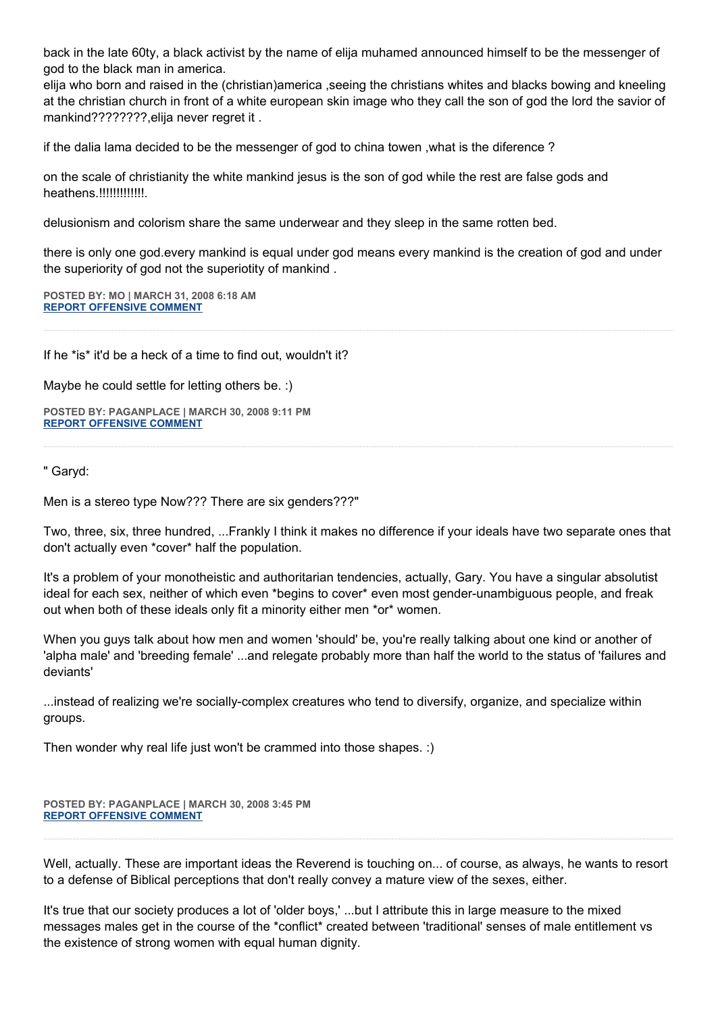back in the late 60ty, a black activist by the name of elija muhamed announced himself to be the messenger of god to the black man in america.

elija who born and raised in the (christian)america ,seeing the christians whites and blacks bowing and kneeling at the christian church in front of a white european skin image who they call the son of god the lord the savior of mankind????????,elija never regret it .

if the dalia lama decided to be the messenger of god to china towen ,what is the diference ?

on the scale of christianity the white mankind jesus is the son of god while the rest are false gods and heathens.!!!!!!!!!!!!!.

delusionism and colorism share the same underwear and they sleep in the same rotten bed.

there is only one god.every mankind is equal under god means every mankind is the creation of god and under the superiority of god not the superiotity of mankind .

**POSTED BY: MO | MARCH 31, 2008 6:18 AM [REPORT OFFENSIVE COMMENT](mailto:blogs@washingtonpost.com?subject=On%20Faith%20Panelists%20Blog%20%20%7C%20%20mo%20%20%7C%20%20How,%20Now,%20Make%20Men%20Out%20of%20Boys?%20%20%7C%20%202969804&body=%0D%0D%0D%0D%0D================%0D?__mode=view%26_type=comment%26id=2969804%26blog_id=618)**

If he \*is\* it'd be a heck of a time to find out, wouldn't it?

Maybe he could settle for letting others be. :)

**POSTED BY: PAGANPLACE | MARCH 30, 2008 9:11 PM [REPORT OFFENSIVE COMMENT](mailto:blogs@washingtonpost.com?subject=On%20Faith%20Panelists%20Blog%20%20%7C%20%20Paganplace%20%20%7C%20%20How,%20Now,%20Make%20Men%20Out%20of%20Boys?%20%20%7C%20%202965459&body=%0D%0D%0D%0D%0D================%0D?__mode=view%26_type=comment%26id=2965459%26blog_id=618)**

" Garyd:

Men is a stereo type Now??? There are six genders???"

Two, three, six, three hundred, ...Frankly I think it makes no difference if your ideals have two separate ones that don't actually even \*cover\* half the population.

It's a problem of your monotheistic and authoritarian tendencies, actually, Gary. You have a singular absolutist ideal for each sex, neither of which even \*begins to cover\* even most gender-unambiguous people, and freak out when both of these ideals only fit a minority either men \*or\* women.

When you guys talk about how men and women 'should' be, you're really talking about one kind or another of 'alpha male' and 'breeding female' ...and relegate probably more than half the world to the status of 'failures and deviants'

...instead of realizing we're socially-complex creatures who tend to diversify, organize, and specialize within groups.

Then wonder why real life just won't be crammed into those shapes. :)

**POSTED BY: PAGANPLACE | MARCH 30, 2008 3:45 PM [REPORT OFFENSIVE COMMENT](mailto:blogs@washingtonpost.com?subject=On%20Faith%20Panelists%20Blog%20%20%7C%20%20Paganplace%20%20%7C%20%20How,%20Now,%20Make%20Men%20Out%20of%20Boys?%20%20%7C%20%202962742&body=%0D%0D%0D%0D%0D================%0D?__mode=view%26_type=comment%26id=2962742%26blog_id=618)**

Well, actually. These are important ideas the Reverend is touching on... of course, as always, he wants to resort to a defense of Biblical perceptions that don't really convey a mature view of the sexes, either.

It's true that our society produces a lot of 'older boys,' ...but I attribute this in large measure to the mixed messages males get in the course of the \*conflict\* created between 'traditional' senses of male entitlement vs the existence of strong women with equal human dignity.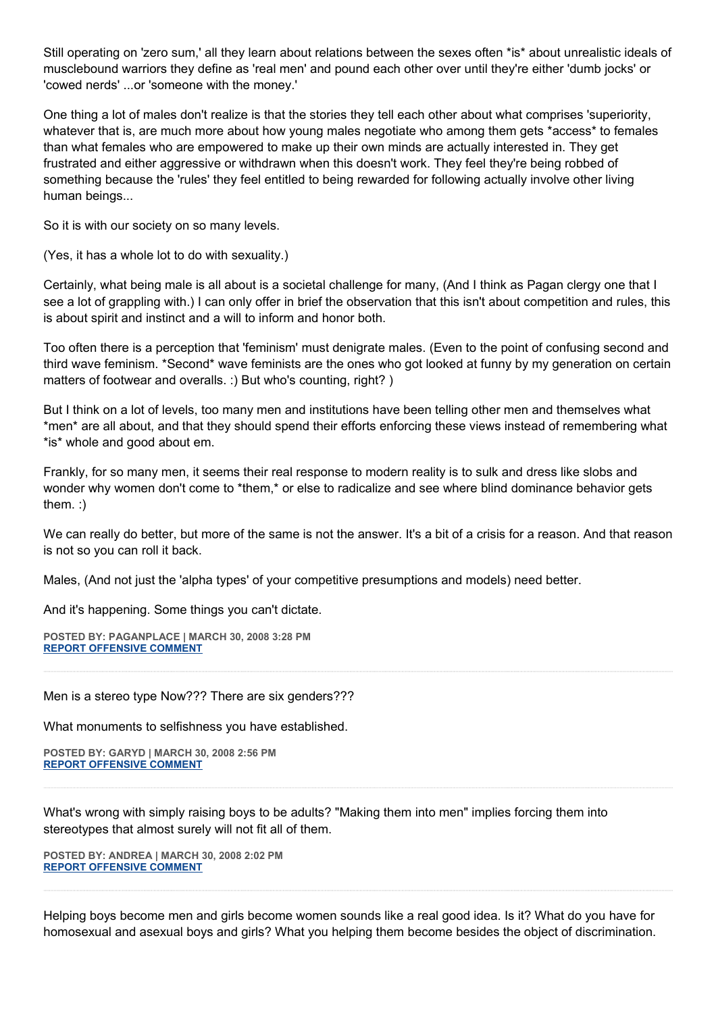Still operating on 'zero sum,' all they learn about relations between the sexes often \*is\* about unrealistic ideals of musclebound warriors they define as 'real men' and pound each other over until they're either 'dumb jocks' or 'cowed nerds' ...or 'someone with the money.'

One thing a lot of males don't realize is that the stories they tell each other about what comprises 'superiority, whatever that is, are much more about how young males negotiate who among them gets \*access\* to females than what females who are empowered to make up their own minds are actually interested in. They get frustrated and either aggressive or withdrawn when this doesn't work. They feel they're being robbed of something because the 'rules' they feel entitled to being rewarded for following actually involve other living human beings...

So it is with our society on so many levels.

(Yes, it has a whole lot to do with sexuality.)

Certainly, what being male is all about is a societal challenge for many, (And I think as Pagan clergy one that I see a lot of grappling with.) I can only offer in brief the observation that this isn't about competition and rules, this is about spirit and instinct and a will to inform and honor both.

Too often there is a perception that 'feminism' must denigrate males. (Even to the point of confusing second and third wave feminism. \*Second\* wave feminists are the ones who got looked at funny by my generation on certain matters of footwear and overalls. :) But who's counting, right?)

But I think on a lot of levels, too many men and institutions have been telling other men and themselves what \*men\* are all about, and that they should spend their efforts enforcing these views instead of remembering what \*is\* whole and good about em.

Frankly, for so many men, it seems their real response to modern reality is to sulk and dress like slobs and wonder why women don't come to \*them,\* or else to radicalize and see where blind dominance behavior gets them. :)

We can really do better, but more of the same is not the answer. It's a bit of a crisis for a reason. And that reason is not so you can roll it back.

Males, (And not just the 'alpha types' of your competitive presumptions and models) need better.

And it's happening. Some things you can't dictate.

**POSTED BY: PAGANPLACE | MARCH 30, 2008 3:28 PM [REPORT OFFENSIVE COMMENT](mailto:blogs@washingtonpost.com?subject=On%20Faith%20Panelists%20Blog%20%20%7C%20%20Paganplace%20%20%7C%20%20How,%20Now,%20Make%20Men%20Out%20of%20Boys?%20%20%7C%20%202962583&body=%0D%0D%0D%0D%0D================%0D?__mode=view%26_type=comment%26id=2962583%26blog_id=618)**

Men is a stereo type Now??? There are six genders???

What monuments to selfishness you have established.

**POSTED BY: GARYD | MARCH 30, 2008 2:56 PM [REPORT OFFENSIVE COMMENT](mailto:blogs@washingtonpost.com?subject=On%20Faith%20Panelists%20Blog%20%20%7C%20%20Garyd%20%20%7C%20%20How,%20Now,%20Make%20Men%20Out%20of%20Boys?%20%20%7C%20%202962298&body=%0D%0D%0D%0D%0D================%0D?__mode=view%26_type=comment%26id=2962298%26blog_id=618)**

What's wrong with simply raising boys to be adults? "Making them into men" implies forcing them into stereotypes that almost surely will not fit all of them.

**POSTED BY: ANDREA | MARCH 30, 2008 2:02 PM [REPORT OFFENSIVE COMMENT](mailto:blogs@washingtonpost.com?subject=On%20Faith%20Panelists%20Blog%20%20%7C%20%20Andrea%20%20%7C%20%20How,%20Now,%20Make%20Men%20Out%20of%20Boys?%20%20%7C%20%202961751&body=%0D%0D%0D%0D%0D================%0D?__mode=view%26_type=comment%26id=2961751%26blog_id=618)**

Helping boys become men and girls become women sounds like a real good idea. Is it? What do you have for homosexual and asexual boys and girls? What you helping them become besides the object of discrimination.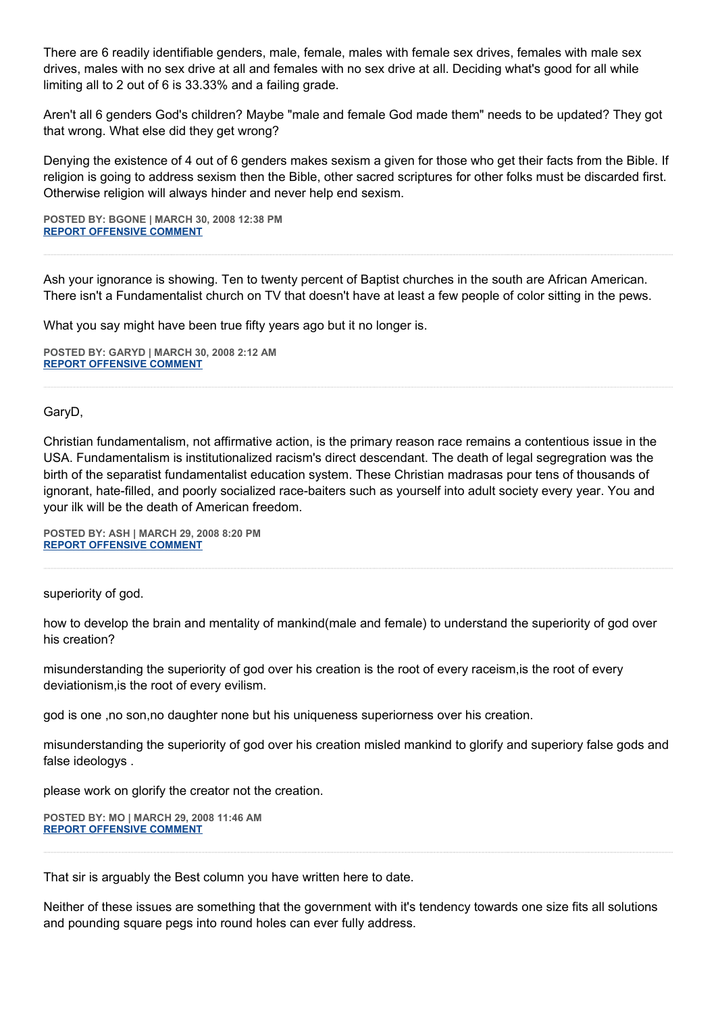There are 6 readily identifiable genders, male, female, males with female sex drives, females with male sex drives, males with no sex drive at all and females with no sex drive at all. Deciding what's good for all while limiting all to 2 out of 6 is 33.33% and a failing grade.

Aren't all 6 genders God's children? Maybe "male and female God made them" needs to be updated? They got that wrong. What else did they get wrong?

Denying the existence of 4 out of 6 genders makes sexism a given for those who get their facts from the Bible. If religion is going to address sexism then the Bible, other sacred scriptures for other folks must be discarded first. Otherwise religion will always hinder and never help end sexism.

**POSTED BY: BGONE | MARCH 30, 2008 12:38 PM [REPORT OFFENSIVE COMMENT](mailto:blogs@washingtonpost.com?subject=On%20Faith%20Panelists%20Blog%20%20%7C%20%20BGone%20%20%7C%20%20How,%20Now,%20Make%20Men%20Out%20of%20Boys?%20%20%7C%20%202961083&body=%0D%0D%0D%0D%0D================%0D?__mode=view%26_type=comment%26id=2961083%26blog_id=618)**

Ash your ignorance is showing. Ten to twenty percent of Baptist churches in the south are African American. There isn't a Fundamentalist church on TV that doesn't have at least a few people of color sitting in the pews.

What you say might have been true fifty years ago but it no longer is.

**POSTED BY: GARYD | MARCH 30, 2008 2:12 AM [REPORT OFFENSIVE COMMENT](mailto:blogs@washingtonpost.com?subject=On%20Faith%20Panelists%20Blog%20%20%7C%20%20Garyd%20%20%7C%20%20How,%20Now,%20Make%20Men%20Out%20of%20Boys?%20%20%7C%20%202955999&body=%0D%0D%0D%0D%0D================%0D?__mode=view%26_type=comment%26id=2955999%26blog_id=618)**

GaryD,

Christian fundamentalism, not affirmative action, is the primary reason race remains a contentious issue in the USA. Fundamentalism is institutionalized racism's direct descendant. The death of legal segregration was the birth of the separatist fundamentalist education system. These Christian madrasas pour tens of thousands of ignorant, hate-filled, and poorly socialized race-baiters such as yourself into adult society every year. You and your ilk will be the death of American freedom.

**POSTED BY: ASH | MARCH 29, 2008 8:20 PM [REPORT OFFENSIVE COMMENT](mailto:blogs@washingtonpost.com?subject=On%20Faith%20Panelists%20Blog%20%20%7C%20%20Ash%20%20%7C%20%20How,%20Now,%20Make%20Men%20Out%20of%20Boys?%20%20%7C%20%202953704&body=%0D%0D%0D%0D%0D================%0D?__mode=view%26_type=comment%26id=2953704%26blog_id=618)**

superiority of god.

how to develop the brain and mentality of mankind(male and female) to understand the superiority of god over his creation?

misunderstanding the superiority of god over his creation is the root of every raceism,is the root of every deviationism,is the root of every evilism.

god is one ,no son,no daughter none but his uniqueness superiorness over his creation.

misunderstanding the superiority of god over his creation misled mankind to glorify and superiory false gods and false ideologys .

please work on glorify the creator not the creation.

**POSTED BY: MO | MARCH 29, 2008 11:46 AM [REPORT OFFENSIVE COMMENT](mailto:blogs@washingtonpost.com?subject=On%20Faith%20Panelists%20Blog%20%20%7C%20%20mo%20%20%7C%20%20How,%20Now,%20Make%20Men%20Out%20of%20Boys?%20%20%7C%20%202948854&body=%0D%0D%0D%0D%0D================%0D?__mode=view%26_type=comment%26id=2948854%26blog_id=618)**

That sir is arguably the Best column you have written here to date.

Neither of these issues are something that the government with it's tendency towards one size fits all solutions and pounding square pegs into round holes can ever fully address.